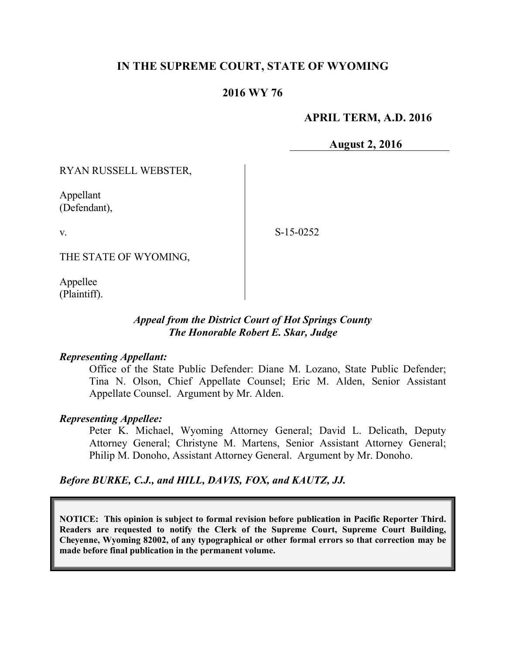# **IN THE SUPREME COURT, STATE OF WYOMING**

## **2016 WY 76**

### **APRIL TERM, A.D. 2016**

**August 2, 2016**

RYAN RUSSELL WEBSTER,

Appellant (Defendant),

v.

S-15-0252

THE STATE OF WYOMING,

Appellee (Plaintiff).

#### *Appeal from the District Court of Hot Springs County The Honorable Robert E. Skar, Judge*

#### *Representing Appellant:*

Office of the State Public Defender: Diane M. Lozano, State Public Defender; Tina N. Olson, Chief Appellate Counsel; Eric M. Alden, Senior Assistant Appellate Counsel. Argument by Mr. Alden.

#### *Representing Appellee:*

Peter K. Michael, Wyoming Attorney General; David L. Delicath, Deputy Attorney General; Christyne M. Martens, Senior Assistant Attorney General; Philip M. Donoho, Assistant Attorney General. Argument by Mr. Donoho.

#### *Before BURKE, C.J., and HILL, DAVIS, FOX, and KAUTZ, JJ.*

**NOTICE: This opinion is subject to formal revision before publication in Pacific Reporter Third. Readers are requested to notify the Clerk of the Supreme Court, Supreme Court Building, Cheyenne, Wyoming 82002, of any typographical or other formal errors so that correction may be made before final publication in the permanent volume.**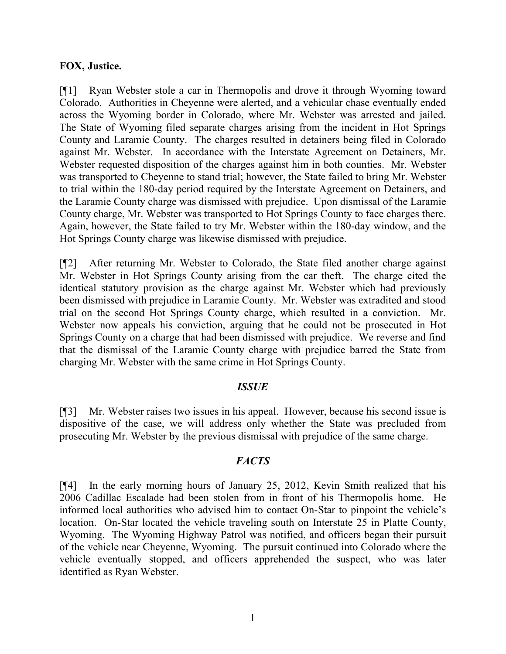#### **FOX, Justice.**

[¶1] Ryan Webster stole a car in Thermopolis and drove it through Wyoming toward Colorado. Authorities in Cheyenne were alerted, and a vehicular chase eventually ended across the Wyoming border in Colorado, where Mr. Webster was arrested and jailed. The State of Wyoming filed separate charges arising from the incident in Hot Springs County and Laramie County. The charges resulted in detainers being filed in Colorado against Mr. Webster. In accordance with the Interstate Agreement on Detainers, Mr. Webster requested disposition of the charges against him in both counties. Mr. Webster was transported to Cheyenne to stand trial; however, the State failed to bring Mr. Webster to trial within the 180-day period required by the Interstate Agreement on Detainers, and the Laramie County charge was dismissed with prejudice. Upon dismissal of the Laramie County charge, Mr. Webster was transported to Hot Springs County to face charges there. Again, however, the State failed to try Mr. Webster within the 180-day window, and the Hot Springs County charge was likewise dismissed with prejudice.

[¶2] After returning Mr. Webster to Colorado, the State filed another charge against Mr. Webster in Hot Springs County arising from the car theft. The charge cited the identical statutory provision as the charge against Mr. Webster which had previously been dismissed with prejudice in Laramie County. Mr. Webster was extradited and stood trial on the second Hot Springs County charge, which resulted in a conviction. Mr. Webster now appeals his conviction, arguing that he could not be prosecuted in Hot Springs County on a charge that had been dismissed with prejudice. We reverse and find that the dismissal of the Laramie County charge with prejudice barred the State from charging Mr. Webster with the same crime in Hot Springs County.

## *ISSUE*

[¶3] Mr. Webster raises two issues in his appeal. However, because his second issue is dispositive of the case, we will address only whether the State was precluded from prosecuting Mr. Webster by the previous dismissal with prejudice of the same charge.

#### *FACTS*

[¶4] In the early morning hours of January 25, 2012, Kevin Smith realized that his 2006 Cadillac Escalade had been stolen from in front of his Thermopolis home. He informed local authorities who advised him to contact On-Star to pinpoint the vehicle's location. On-Star located the vehicle traveling south on Interstate 25 in Platte County, Wyoming. The Wyoming Highway Patrol was notified, and officers began their pursuit of the vehicle near Cheyenne, Wyoming. The pursuit continued into Colorado where the vehicle eventually stopped, and officers apprehended the suspect, who was later identified as Ryan Webster.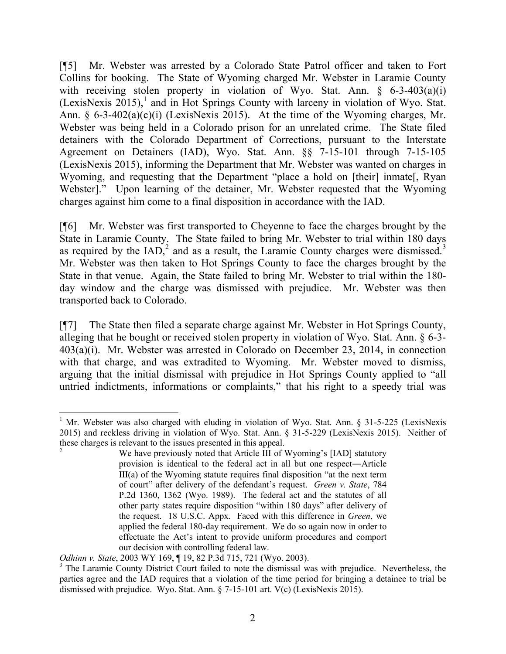[¶5] Mr. Webster was arrested by a Colorado State Patrol officer and taken to Fort Collins for booking. The State of Wyoming charged Mr. Webster in Laramie County with receiving stolen property in violation of Wyo. Stat. Ann. § 6-3-403(a)(i) (LexisNexis 2015), 1 and in Hot Springs County with larceny in violation of Wyo. Stat. Ann. §  $6-3-402(a)(c)(i)$  (LexisNexis 2015). At the time of the Wyoming charges, Mr. Webster was being held in a Colorado prison for an unrelated crime. The State filed detainers with the Colorado Department of Corrections, pursuant to the Interstate Agreement on Detainers (IAD), Wyo. Stat. Ann. §§ 7-15-101 through 7-15-105 (LexisNexis 2015), informing the Department that Mr. Webster was wanted on charges in Wyoming, and requesting that the Department "place a hold on [their] inmate[, Ryan Webster]." Upon learning of the detainer, Mr. Webster requested that the Wyoming charges against him come to a final disposition in accordance with the IAD.

[¶6] Mr. Webster was first transported to Cheyenne to face the charges brought by the State in Laramie County. The State failed to bring Mr. Webster to trial within 180 days as required by the  $IAD$ , and as a result, the Laramie County charges were dismissed.<sup>3</sup> Mr. Webster was then taken to Hot Springs County to face the charges brought by the State in that venue. Again, the State failed to bring Mr. Webster to trial within the 180 day window and the charge was dismissed with prejudice. Mr. Webster was then transported back to Colorado.

[¶7] The State then filed a separate charge against Mr. Webster in Hot Springs County, alleging that he bought or received stolen property in violation of Wyo. Stat. Ann. § 6-3- 403(a)(i). Mr. Webster was arrested in Colorado on December 23, 2014, in connection with that charge, and was extradited to Wyoming. Mr. Webster moved to dismiss, arguing that the initial dismissal with prejudice in Hot Springs County applied to "all untried indictments, informations or complaints," that his right to a speedy trial was

 <sup>1</sup> Mr. Webster was also charged with eluding in violation of Wyo. Stat. Ann. § 31-5-225 (LexisNexis 2015) and reckless driving in violation of Wyo. Stat. Ann. § 31-5-229 (LexisNexis 2015). Neither of these charges is relevant to the issues presented in this appeal.

We have previously noted that Article III of Wyoming's [IAD] statutory provision is identical to the federal act in all but one respect―Article III(a) of the Wyoming statute requires final disposition "at the next term of court" after delivery of the defendant's request. *Green v. State*, 784 P.2d 1360, 1362 (Wyo. 1989). The federal act and the statutes of all other party states require disposition "within 180 days" after delivery of the request. 18 U.S.C. Appx. Faced with this difference in *Green*, we applied the federal 180-day requirement. We do so again now in order to effectuate the Act's intent to provide uniform procedures and comport our decision with controlling federal law.

*Odhinn v. State*, 2003 WY 169, ¶ 19, 82 P.3d 715, 721 (Wyo. 2003).

<sup>&</sup>lt;sup>3</sup> The Laramie County District Court failed to note the dismissal was with prejudice. Nevertheless, the parties agree and the IAD requires that a violation of the time period for bringing a detainee to trial be dismissed with prejudice. Wyo. Stat. Ann. § 7-15-101 art. V(c) (LexisNexis 2015).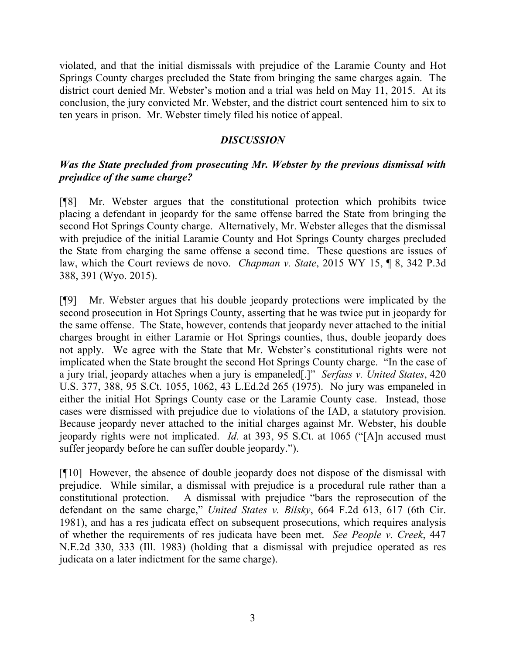violated, and that the initial dismissals with prejudice of the Laramie County and Hot Springs County charges precluded the State from bringing the same charges again. The district court denied Mr. Webster's motion and a trial was held on May 11, 2015. At its conclusion, the jury convicted Mr. Webster, and the district court sentenced him to six to ten years in prison. Mr. Webster timely filed his notice of appeal.

## *DISCUSSION*

# *Was the State precluded from prosecuting Mr. Webster by the previous dismissal with prejudice of the same charge?*

[¶8] Mr. Webster argues that the constitutional protection which prohibits twice placing a defendant in jeopardy for the same offense barred the State from bringing the second Hot Springs County charge. Alternatively, Mr. Webster alleges that the dismissal with prejudice of the initial Laramie County and Hot Springs County charges precluded the State from charging the same offense a second time. These questions are issues of law, which the Court reviews de novo. *Chapman v. State*, 2015 WY 15, ¶ 8, 342 P.3d 388, 391 (Wyo. 2015).

[¶9] Mr. Webster argues that his double jeopardy protections were implicated by the second prosecution in Hot Springs County, asserting that he was twice put in jeopardy for the same offense. The State, however, contends that jeopardy never attached to the initial charges brought in either Laramie or Hot Springs counties, thus, double jeopardy does not apply. We agree with the State that Mr. Webster's constitutional rights were not implicated when the State brought the second Hot Springs County charge. "In the case of a jury trial, jeopardy attaches when a jury is empaneled[.]" *Serfass v. United States*, 420 U.S. 377, 388, 95 S.Ct. 1055, 1062, 43 L.Ed.2d 265 (1975). No jury was empaneled in either the initial Hot Springs County case or the Laramie County case. Instead, those cases were dismissed with prejudice due to violations of the IAD, a statutory provision. Because jeopardy never attached to the initial charges against Mr. Webster, his double jeopardy rights were not implicated. *Id.* at 393, 95 S.Ct. at 1065 ("[A]n accused must suffer jeopardy before he can suffer double jeopardy.").

[¶10] However, the absence of double jeopardy does not dispose of the dismissal with prejudice. While similar, a dismissal with prejudice is a procedural rule rather than a constitutional protection. A dismissal with prejudice "bars the reprosecution of the defendant on the same charge," *United States v. Bilsky*, 664 F.2d 613, 617 (6th Cir. 1981), and has a res judicata effect on subsequent prosecutions, which requires analysis of whether the requirements of res judicata have been met. *See People v. Creek*, 447 N.E.2d 330, 333 (Ill. 1983) (holding that a dismissal with prejudice operated as res judicata on a later indictment for the same charge).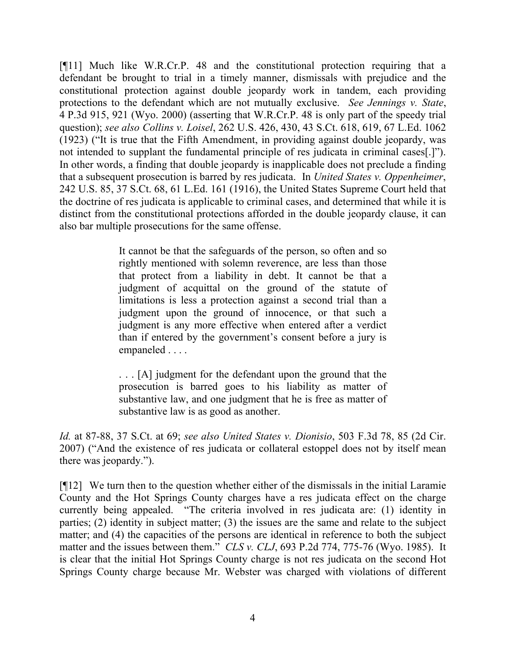[¶11] Much like W.R.Cr.P. 48 and the constitutional protection requiring that a defendant be brought to trial in a timely manner, dismissals with prejudice and the constitutional protection against double jeopardy work in tandem, each providing protections to the defendant which are not mutually exclusive. *See Jennings v. State*, 4 P.3d 915, 921 (Wyo. 2000) (asserting that W.R.Cr.P. 48 is only part of the speedy trial question); *see also Collins v. Loisel*, 262 U.S. 426, 430, 43 S.Ct. 618, 619, 67 L.Ed. 1062 (1923) ("It is true that the Fifth Amendment, in providing against double jeopardy, was not intended to supplant the fundamental principle of res judicata in criminal cases[.]"). In other words, a finding that double jeopardy is inapplicable does not preclude a finding that a subsequent prosecution is barred by res judicata. In *United States v. Oppenheimer*, 242 U.S. 85, 37 S.Ct. 68, 61 L.Ed. 161 (1916), the United States Supreme Court held that the doctrine of res judicata is applicable to criminal cases, and determined that while it is distinct from the constitutional protections afforded in the double jeopardy clause, it can also bar multiple prosecutions for the same offense.

> It cannot be that the safeguards of the person, so often and so rightly mentioned with solemn reverence, are less than those that protect from a liability in debt. It cannot be that a judgment of acquittal on the ground of the statute of limitations is less a protection against a second trial than a judgment upon the ground of innocence, or that such a judgment is any more effective when entered after a verdict than if entered by the government's consent before a jury is empaneled . . . .

> . . . [A] judgment for the defendant upon the ground that the prosecution is barred goes to his liability as matter of substantive law, and one judgment that he is free as matter of substantive law is as good as another.

*Id.* at 87-88, 37 S.Ct. at 69; *see also United States v. Dionisio*, 503 F.3d 78, 85 (2d Cir. 2007) ("And the existence of res judicata or collateral estoppel does not by itself mean there was jeopardy.").

[¶12] We turn then to the question whether either of the dismissals in the initial Laramie County and the Hot Springs County charges have a res judicata effect on the charge currently being appealed. "The criteria involved in res judicata are: (1) identity in parties; (2) identity in subject matter; (3) the issues are the same and relate to the subject matter; and (4) the capacities of the persons are identical in reference to both the subject matter and the issues between them." *CLS v. CLJ*, 693 P.2d 774, 775-76 (Wyo. 1985). It is clear that the initial Hot Springs County charge is not res judicata on the second Hot Springs County charge because Mr. Webster was charged with violations of different